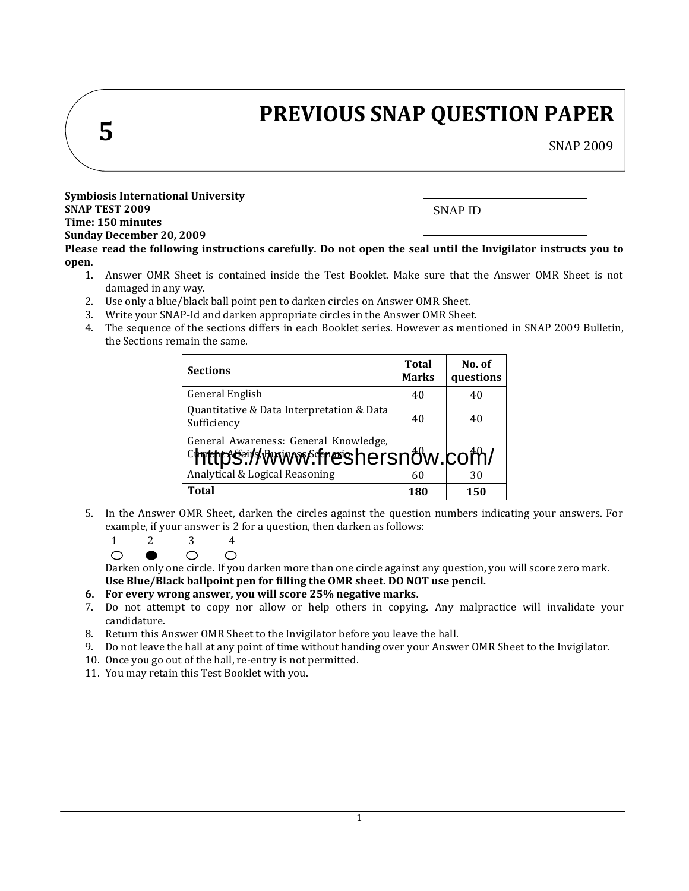# **5**

# **PREVIOUS SNAP QUESTION PAPER**

SNAP 2009

**Symbiosis International University SNAP TEST 2009 Time: 150 minutes Sunday December 20, 2009**

SNAP ID

**Please read the following instructions carefully. Do not open the seal until the Invigilator instructs you to open.**

- 1. Answer OMR Sheet is contained inside the Test Booklet. Make sure that the Answer OMR Sheet is not damaged in any way.
- 2. Use only a blue/black ball point pen to darken circles on Answer OMR Sheet.
- 3. Write your SNAP-Id and darken appropriate circles in the Answer OMR Sheet.
- 4. The sequence of the sections differs in each Booklet series. However as mentioned in SNAP 2009 Bulletin, the Sections remain the same.

| <b>Sections</b>                                                               | <b>Total</b><br><b>Marks</b> | No. of<br>questions |
|-------------------------------------------------------------------------------|------------------------------|---------------------|
| General English                                                               | 40                           | 40                  |
| Quantitative & Data Interpretation & Data<br>Sufficiency                      | 40                           | 40                  |
| General Awareness: General Knowledge,<br><u>chttps://www.freshersnow.com/</u> |                              |                     |
| Analytical & Logical Reasoning                                                | 60                           | 30                  |
| <b>Total</b>                                                                  | 180                          | 150                 |

5. In the Answer OMR Sheet, darken the circles against the question numbers indicating your answers. For example, if your answer is 2 for a question, then darken as follows:

1 2 3 4  $\bigcirc$  $\circ$  $\circ$ 

Darken only one circle. If you darken more than one circle against any question, you will score zero mark. **Use Blue/Black ballpoint pen for filling the OMR sheet. DO NOT use pencil.**

## **6. For every wrong answer, you will score 25% negative marks.**

- 7. Do not attempt to copy nor allow or help others in copying. Any malpractice will invalidate your candidature.
- 8. Return this Answer OMR Sheet to the Invigilator before you leave the hall.
- 9. Do not leave the hall at any point of time without handing over your Answer OMR Sheet to the Invigilator.
- 10. Once you go out of the hall, re-entry is not permitted.
- 11. You may retain this Test Booklet with you.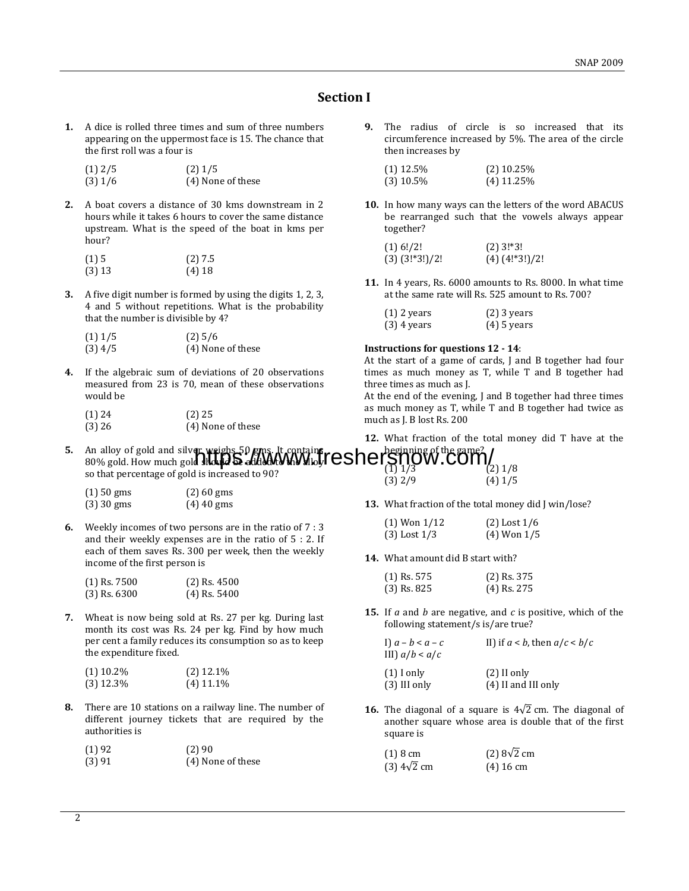## **Section I**

**1.** A dice is rolled three times and sum of three numbers appearing on the uppermost face is 15. The chance that the first roll was a four is

| $(1)$ 2/5 | $(2)$ 1/5         |
|-----------|-------------------|
| $(3)$ 1/6 | (4) None of these |

**2.** A boat covers a distance of 30 kms downstream in 2 hours while it takes 6 hours to cover the same distance upstream. What is the speed of the boat in kms per hour?

| (1)5   | (2) 7.5  |
|--------|----------|
| (3) 13 | $(4)$ 18 |

**3.** A five digit number is formed by using the digits 1, 2, 3, 4 and 5 without repetitions. What is the probability that the number is divisible by 4?

| $(1)$ 1/5 | $(2)$ 5/6         |
|-----------|-------------------|
| (3) 4/5   | (4) None of these |

**4.** If the algebraic sum of deviations of 20 observations measured from 23 is 70, mean of these observations would be

| (1) 24 | $(2)$ 25          |
|--------|-------------------|
| (3) 26 | (4) None of these |

**9.** The radius of circle is so increased that its circumference increased by 5%. The area of the circle then increases by

| $(1)$ 12.5% | $(2)$ 10.25% |
|-------------|--------------|
| $(3)$ 10.5% | $(4)$ 11.25% |

**10.** In how many ways can the letters of the word ABACUS be rearranged such that the vowels always appear together?

| (1) 6!/2!       | $(2)$ 3!*3!         |
|-----------------|---------------------|
| $(3)(3!*3!)/2!$ | $(4)$ $(4!*3!)$ /2! |

**11.** In 4 years, Rs. 6000 amounts to Rs. 8000. In what time at the same rate will Rs. 525 amount to Rs. 700?

| $(1)$ 2 years | $(2)$ 3 years |
|---------------|---------------|
| $(3)$ 4 years | $(4)$ 5 years |

#### **Instructions for questions 12 - 14**:

At the start of a game of cards, J and B together had four times as much money as T, while T and B together had three times as much as J.

At the end of the evening, J and B together had three times as much money as T, while T and B together had twice as much as J. B lost Rs. 200

**12.** What fraction of the total money did T have at the

**5.** An alloy of gold and silver weighs 50 gms. It contains, An alloy of gold and silver weighs 50 gms. It contains  $f$   $es$   $he$   $f$   $g$   $\eta$   $g$   $W$  . COII $\eta$   $/$ so that percentage of gold is increased to 90? beginning of the game? (1) 1/3<br>(3) 1/8<br>(3) 2/9 (4) 1/5  $(4)$  1/5

| $(1)$ 50 gms | $(2)$ 60 gms |
|--------------|--------------|
| (3) 30 gms   | $(4)$ 40 gms |

**6.** Weekly incomes of two persons are in the ratio of 7 : 3 and their weekly expenses are in the ratio of 5 : 2. If each of them saves Rs. 300 per week, then the weekly income of the first person is

| (1) Rs. 7500 | $(2)$ Rs. 4500 |
|--------------|----------------|
| (3) Rs. 6300 | $(4)$ Rs. 5400 |

**7.** Wheat is now being sold at Rs. 27 per kg. During last month its cost was Rs. 24 per kg. Find by how much per cent a family reduces its consumption so as to keep the expenditure fixed.

| $(1)$ 10.2% | $(2)$ 12.1% |
|-------------|-------------|
| (3) 12.3%   | $(4)$ 11.1% |

**8.** There are 10 stations on a railway line. The number of different journey tickets that are required by the authorities is

| (1) 92 | (2)90             |
|--------|-------------------|
| (3) 91 | (4) None of these |

**13.** What fraction of the total money did J win/lose?

| $(1)$ Won $1/12$ | $(2)$ Lost $1/6$ |
|------------------|------------------|
| $(3)$ Lost $1/3$ | $(4)$ Won $1/5$  |

**14.** What amount did B start with?

| $(1)$ Rs. 575 | $(2)$ Rs. 375 |
|---------------|---------------|
| $(3)$ Rs. 825 | $(4)$ Rs. 275 |

**15.** If *a* and *b* are negative, and *c* is positive, which of the following statement/s is/are true?

| I) $a-b < a-c$<br>III) $a/b < a/c$ | II) if $a < b$ , then $a/c < b/c$ |
|------------------------------------|-----------------------------------|
| $(1)$ I only                       | $(2)$ II only                     |
| $(3)$ III only                     | $(4)$ II and III only             |

**16.** The diagonal of a square is  $4\sqrt{2}$  cm. The diagonal of another square whose area is double that of the first square is

| $(1) 8$ cm            | $(2)$ 8 $\sqrt{2}$ cm |
|-----------------------|-----------------------|
| $(3)$ 4 $\sqrt{2}$ cm | $(4)$ 16 cm           |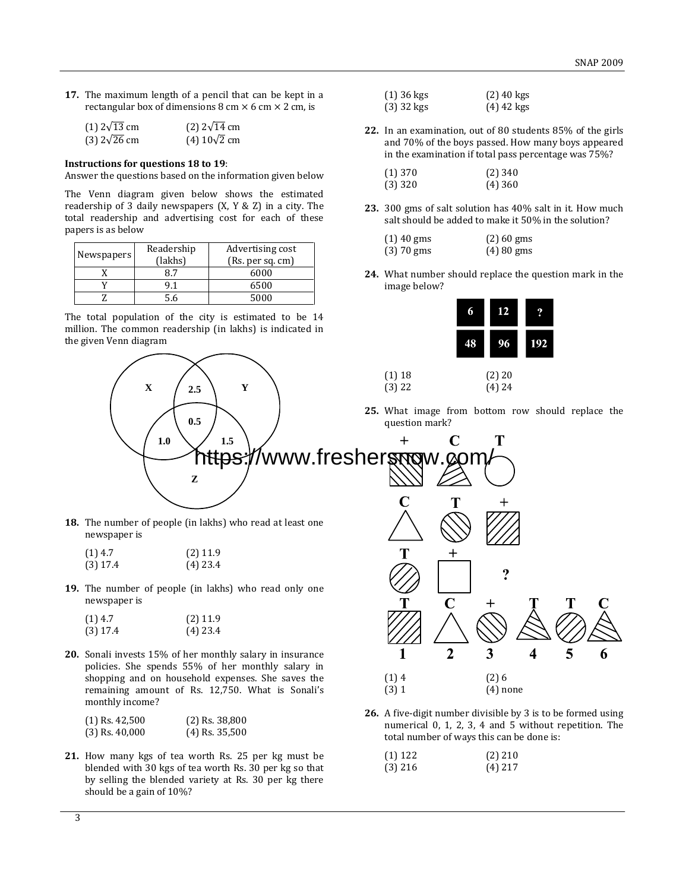**17.** The maximum length of a pencil that can be kept in a rectangular box of dimensions 8 cm  $\times$  6 cm  $\times$  2 cm, is

| $(1)$ 2 $\sqrt{13}$ cm | $(2)$ 2 $\sqrt{14}$ cm |
|------------------------|------------------------|
| $(3)$ 2 $\sqrt{26}$ cm | $(4) 10\sqrt{2}$ cm    |

#### **Instructions for questions 18 to 19**:

Answer the questions based on the information given below

The Venn diagram given below shows the estimated readership of 3 daily newspapers (X, Y & Z) in a city. The total readership and advertising cost for each of these papers is as below

| Newspapers | Readership<br>(lakhs) | Advertising cost<br>(Rs. per sq. cm) |
|------------|-----------------------|--------------------------------------|
|            |                       | 6000                                 |
|            | Q 1                   | 6500                                 |
|            |                       | 5000                                 |

The total population of the city is estimated to be 14 million. The common readership (in lakhs) is indicated in the given Venn diagram

**X**  $\left( \begin{array}{c} 2.5 \end{array} \right)$  **Y** 

**0.5**

**Z**

| $(1)$ 36 kgs | $(2)$ 40 kgs |
|--------------|--------------|
| $(3)$ 32 kgs | $(4)$ 42 kgs |

**22.** In an examination, out of 80 students 85% of the girls and 70% of the boys passed. How many boys appeared in the examination if total pass percentage was 75%?

| $(1)$ 370 | $(2)$ 340 |
|-----------|-----------|
| $(3)$ 320 | $(4)$ 360 |

**23.** 300 gms of salt solution has 40% salt in it. How much salt should be added to make it 50% in the solution?

| $(1)$ 40 gms | $(2)$ 60 gms |
|--------------|--------------|
| $(3)$ 70 gms | $(4)80$ gms  |

**24.** What number should replace the question mark in the image below?

|    | 12                   |            |
|----|----------------------|------------|
| 48 |                      | <b>192</b> |
|    | $(2)$ 20<br>$(4)$ 24 |            |

**25.** What image from bottom row should replace the question mark?



 $(1)$  18  $(3) 22$ 

shopping and on household expenses. She saves the remaining amount of Rs. 12,750. What is Sonali's monthly income?

| $(1)$ Rs. 42,500 | $(2)$ Rs. 38,800 |
|------------------|------------------|
| $(3)$ Rs. 40,000 | $(4)$ Rs. 35,500 |

newspaper is

newspaper is

**21.** How many kgs of tea worth Rs. 25 per kg must be blended with 30 kgs of tea worth Rs. 30 per kg so that by selling the blended variety at Rs. 30 per kg there should be a gain of 10%?



| $(1)$ 122 | $(2)$ 210 |
|-----------|-----------|
| $(3)$ 216 | $(4)$ 217 |

 $(1)$  4  $(2)$  6 (3) 1 (4) none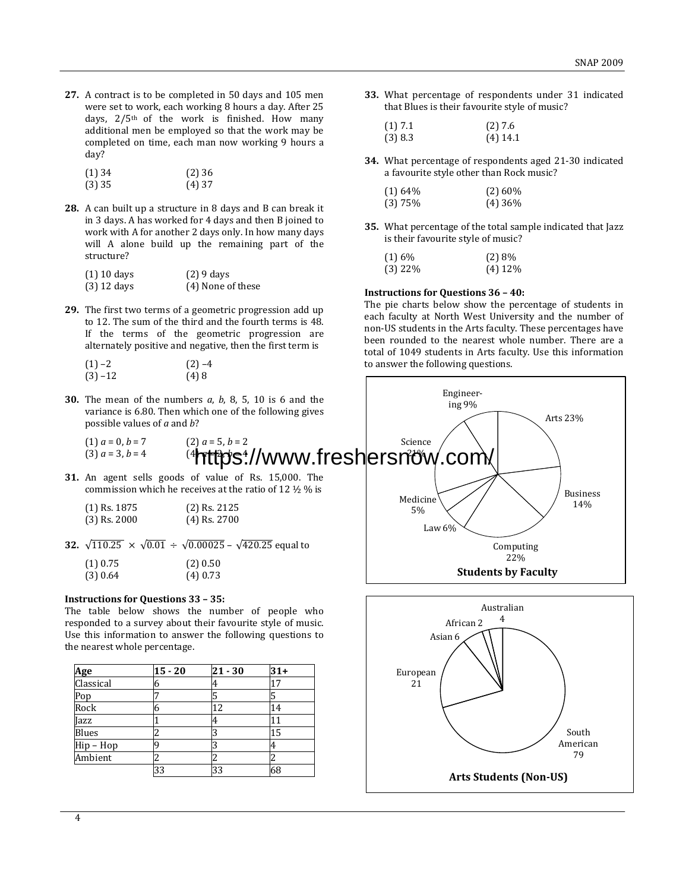**27.** A contract is to be completed in 50 days and 105 men were set to work, each working 8 hours a day. After 25 days, 2/5th of the work is finished. How many additional men be employed so that the work may be completed on time, each man now working 9 hours a day?

| $(1)$ 34 | (2)36    |
|----------|----------|
| $(3)$ 35 | $(4)$ 37 |

**28.** A can built up a structure in 8 days and B can break it in 3 days. A has worked for 4 days and then B joined to work with A for another 2 days only. In how many days will A alone build up the remaining part of the structure?

| (1) 10 days | $(2)$ 9 days      |
|-------------|-------------------|
| (3) 12 days | (4) None of these |

**29.** The first two terms of a geometric progression add up to 12. The sum of the third and the fourth terms is 48. If the terms of the geometric progression are alternately positive and negative, then the first term is

| $(1) -2$   | $(2) -4$ |
|------------|----------|
| $(3) - 12$ | (4)8     |

**33.** What percentage of respondents under 31 indicated that Blues is their favourite style of music?

| (1) 7.1 | (2)7.6     |
|---------|------------|
| (3) 8.3 | $(4)$ 14.1 |

**34.** What percentage of respondents aged 21-30 indicated a favourite style other than Rock music?

| $(1)$ 64% | $(2)$ 60% |
|-----------|-----------|
| $(3)$ 75% | $(4)$ 36% |

**35.** What percentage of the total sample indicated that Jazz is their favourite style of music?

| (1)6%     | (2)8%     |
|-----------|-----------|
| $(3)$ 22% | $(4)$ 12% |

### **Instructions for Questions 36 – 40:**

The pie charts below show the percentage of students in each faculty at North West University and the number of non-US students in the Arts faculty. These percentages have been rounded to the nearest whole number. There are a total of 1049 students in Arts faculty. Use this information to answer the following questions.



responded to a survey about their favourite style of music. Use this information to answer the following questions to the nearest whole percentage.

| <u>Age</u>  | $15 - 20$ | $21 - 30$ | $31+$ |
|-------------|-----------|-----------|-------|
| Classical   | 6         | 4         | 17    |
|             |           | 5         |       |
| Pop<br>Rock | h         | 12        | 14    |
| Jazz        |           | 4         |       |
| Blues       |           |           | 15    |
| Hip-Hop     |           |           | 4     |
| Ambient     |           |           |       |
|             | 33        | 33        | 68    |

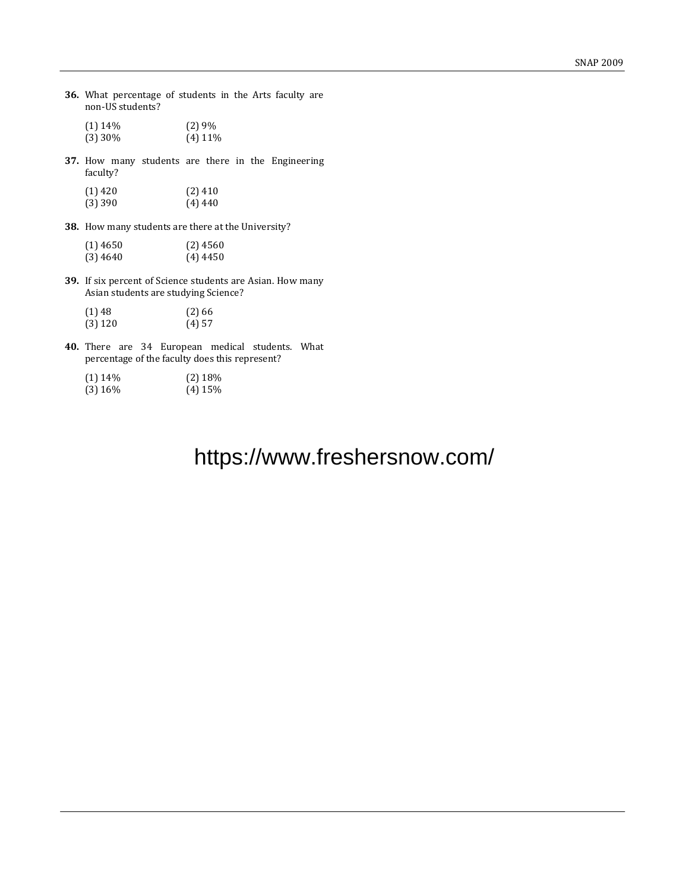**36.** What percentage of students in the Arts faculty are non-US students?

| $(1)$ 14\% | (2)9%      |
|------------|------------|
| $(3)$ 30%  | $(4)$ 11\% |

**37.** How many students are there in the Engineering faculty?

| (1) 420 | $(2)$ 410 |
|---------|-----------|
| (3) 390 | $(4)$ 440 |

**38.** How many students are there at the University?

| $(1)$ 4650 | $(2)$ 4560 |
|------------|------------|
| $(3)$ 4640 | $(4)$ 4450 |

**39.** If six percent of Science students are Asian. How many Asian students are studying Science?

| $(1)$ 48  | (2)66 |
|-----------|-------|
| $(3)$ 120 | (4)57 |

**40.** There are 34 European medical students. What percentage of the faculty does this represent?

| $(1)$ 14\% | $(2)$ 18% |
|------------|-----------|
| $(3)$ 16\% | $(4)$ 15% |

# https://www.freshersnow.com/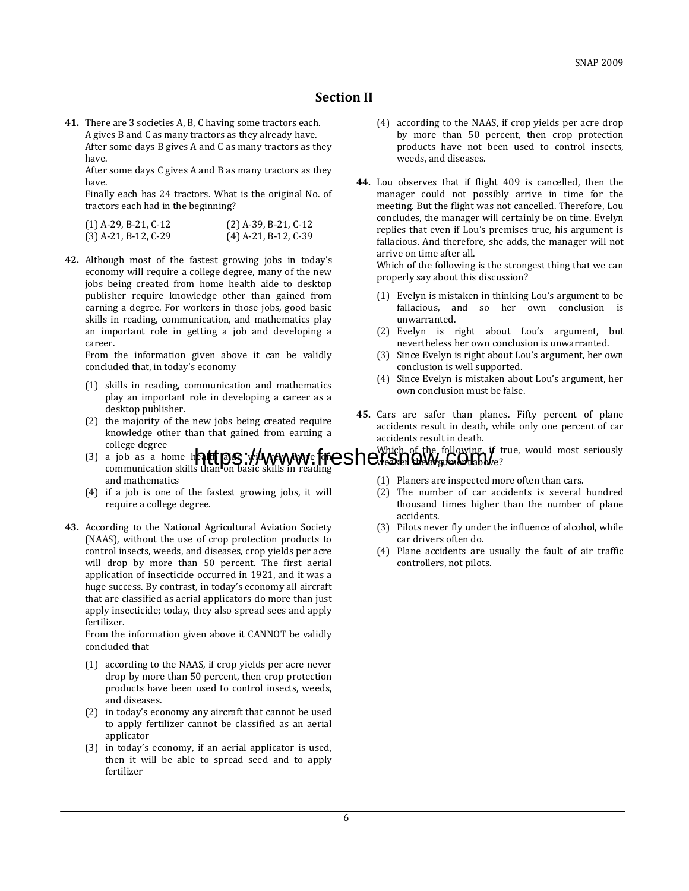## **Section II**

**41.** There are 3 societies A, B, C having some tractors each. A gives B and C as many tractors as they already have. After some days B gives A and C as many tractors as they have.

After some days C gives A and B as many tractors as they have.

Finally each has 24 tractors. What is the original No. of tractors each had in the beginning?

| (1) A-29, B-21, C-12 | $(2)$ A-39, B-21, C-12 |
|----------------------|------------------------|
| (3) A-21, B-12, C-29 | $(4)$ A-21, B-12, C-39 |

**42.** Although most of the fastest growing jobs in today's economy will require a college degree, many of the new jobs being created from home health aide to desktop publisher require knowledge other than gained from earning a degree. For workers in those jobs, good basic skills in reading, communication, and mathematics play an important role in getting a job and developing a career.

From the information given above it can be validly concluded that, in today's economy

- (1) skills in reading, communication and mathematics play an important role in developing a career as a desktop publisher.
- (2) the majority of the new jobs being created require knowledge other than that gained from earning a college degree
- (3) a job as a home health age will rely more tone and mathematics
- (4) if a job is one of the fastest growing jobs, it will require a college degree.
- **43.** According to the National Agricultural Aviation Society (NAAS), without the use of crop protection products to control insects, weeds, and diseases, crop yields per acre will drop by more than 50 percent. The first aerial application of insecticide occurred in 1921, and it was a huge success. By contrast, in today's economy all aircraft that are classified as aerial applicators do more than just apply insecticide; today, they also spread sees and apply fertilizer.

From the information given above it CANNOT be validly concluded that

- (1) according to the NAAS, if crop yields per acre never drop by more than 50 percent, then crop protection products have been used to control insects, weeds, and diseases.
- (2) in today's economy any aircraft that cannot be used to apply fertilizer cannot be classified as an aerial applicator
- (3) in today's economy, if an aerial applicator is used, then it will be able to spread seed and to apply fertilizer
- (4) according to the NAAS, if crop yields per acre drop by more than 50 percent, then crop protection products have not been used to control insects, weeds, and diseases.
- **44.** Lou observes that if flight 409 is cancelled, then the manager could not possibly arrive in time for the meeting. But the flight was not cancelled. Therefore, Lou concludes, the manager will certainly be on time. Evelyn replies that even if Lou's premises true, his argument is fallacious. And therefore, she adds, the manager will not arrive on time after all.

Which of the following is the strongest thing that we can properly say about this discussion?

- (1) Evelyn is mistaken in thinking Lou's argument to be fallacious, and so her own conclusion is unwarranted.
- (2) Evelyn is right about Lou's argument, but nevertheless her own conclusion is unwarranted.
- (3) Since Evelyn is right about Lou's argument, her own conclusion is well supported.
- (4) Since Evelyn is mistaken about Lou's argument, her own conclusion must be false.
- **45.** Cars are safer than planes. Fifty percent of plane accidents result in death, while only one percent of car accidents result in death.
- a job as a home h**att ps://www.fmeshershers.fr**eed.html<br>communication skills than on basic skills in reading if true, would most seriously
	- (1) Planers are inspected more often than cars.
	- (2) The number of car accidents is several hundred thousand times higher than the number of plane accidents.
	- (3) Pilots never fly under the influence of alcohol, while car drivers often do.
	- (4) Plane accidents are usually the fault of air traffic controllers, not pilots.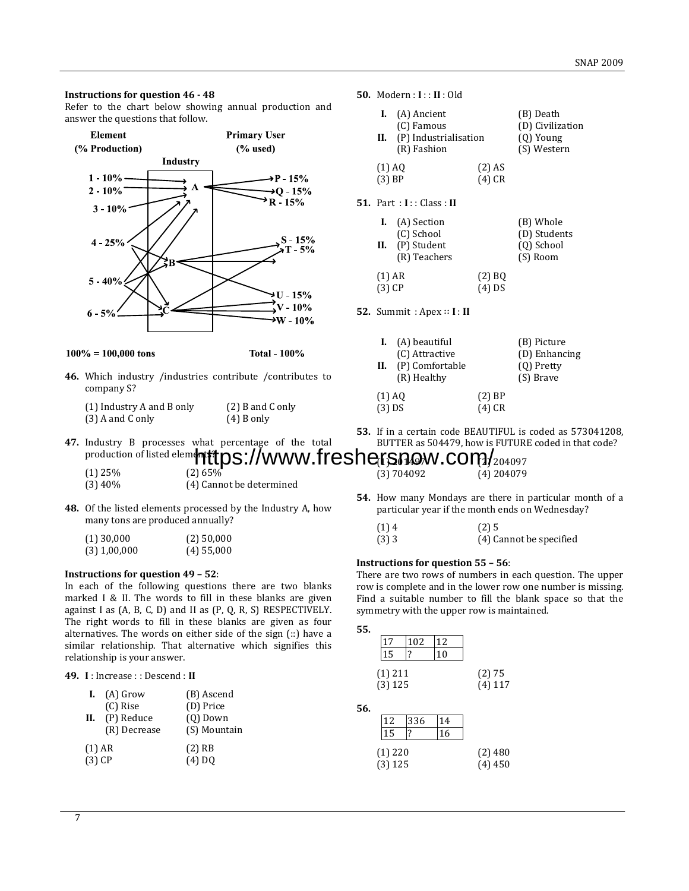#### **Instructions for question 46 - 48**

Refer to the chart below showing annual production and answer the questions that follow.



 $100\% = 100,000$  tons

**Total - 100%** 

**46.** Which industry /industries contribute /contributes to company S?

| (1) Industry A and B only | $(2)$ B and C only |
|---------------------------|--------------------|
| $(3)$ A and C only        | $(4)$ B only       |

#### **50.** Modern : **I** : : **II** : Old

|                    | <b>I.</b> (A) Ancient<br>(C) Famous<br>II. (P) Industrialisation<br>(R) Fashion |                      | (B) Death<br>(D) Civilization<br>$(Q)$ Young<br>(S) Western |
|--------------------|---------------------------------------------------------------------------------|----------------------|-------------------------------------------------------------|
| (1) AQ<br>$(3)$ BP |                                                                                 | $(2)$ AS<br>$(4)$ CR |                                                             |

**51.** Part : **I** : : Class : **II**

|                      | <b>I.</b> (A) Section<br>(C) School<br>II. $(P)$ Student<br>(R) Teachers |                      | (B) Whole<br>(D) Students<br>(Q) School<br>(S) Room |
|----------------------|--------------------------------------------------------------------------|----------------------|-----------------------------------------------------|
| $(1)$ AR<br>$(3)$ CP |                                                                          | $(2)$ BQ<br>$(4)$ DS |                                                     |

**52.** Summit : Apex ∷ **I** : **II**

|          | $I.$ (A) beautiful  |          | (B) Picture   |
|----------|---------------------|----------|---------------|
|          | (C) Attractive      |          | (D) Enhancing |
|          | II. (P) Comfortable |          | (Q) Pretty    |
|          | (R) Healthy         |          | (S) Brave     |
| $(1)$ AQ |                     | $(2)$ BP |               |
| $(3)$ DS |                     | $(4)$ CR |               |

**53.** If in a certain code BEAUTIFUL is coded as 573041208, BUTTER as 504479, how is FUTURE coded in that code?

#### **47.** Industry B processes what percentage of the total production of listed elements?  $(1)$  25% (2) 65% https://www.freshersnow.com/204097 (3) 704092 (4) 204079

| (1) 40 70 | (2)0370                  |
|-----------|--------------------------|
| (3) 40%   | (4) Cannot be determined |

**48.** Of the listed elements processed by the Industry A, how many tons are produced annually?

| $(1)$ 30,000 | $(2)$ 50,000 |
|--------------|--------------|
| (3) 1,00,000 | $(4)$ 55,000 |

#### **Instructions for question 49 – 52**:

In each of the following questions there are two blanks marked I & II. The words to fill in these blanks are given against I as (A, B, C, D) and II as (P, Q, R, S) RESPECTIVELY. The right words to fill in these blanks are given as four alternatives. The words on either side of the sign (::) have a similar relationship. That alternative which signifies this relationship is your answer.

**49. I** : Increase : : Descend : **II**

| L.<br>Н.             | (A) Grow<br>(C) Rise<br>(P) Reduce<br>(R) Decrease | (B) Ascend<br>(D) Price<br>$(Q)$ Down<br>(S) Mountain |
|----------------------|----------------------------------------------------|-------------------------------------------------------|
| $(1)$ AR<br>$(3)$ CP |                                                    | $(2)$ RB<br>$(4)$ DQ                                  |

**54.** How many Mondays are there in particular month of a particular year if the month ends on Wednesday?

| (1)4    | (2)5                    |
|---------|-------------------------|
| $(3)$ 3 | (4) Cannot be specified |

#### **Instructions for question 55 – 56**:

There are two rows of numbers in each question. The upper row is complete and in the lower row one number is missing. Find a suitable number to fill the blank space so that the symmetry with the upper row is maintained.

| ۰.<br>w<br>v | I<br>×<br>I<br>×<br>۰. |
|--------------|------------------------|

|           | 102 | 12 |           |
|-----------|-----|----|-----------|
|           |     |    |           |
| $(1)$ 211 |     |    | (2)75     |
| $(3)$ 125 |     |    | $(4)$ 117 |

**56.**

| I12       | 336 | 14 |           |
|-----------|-----|----|-----------|
|           |     | 16 |           |
| $(1)$ 220 |     |    | $(2)$ 480 |
| (3) 125   |     |    | (4)450    |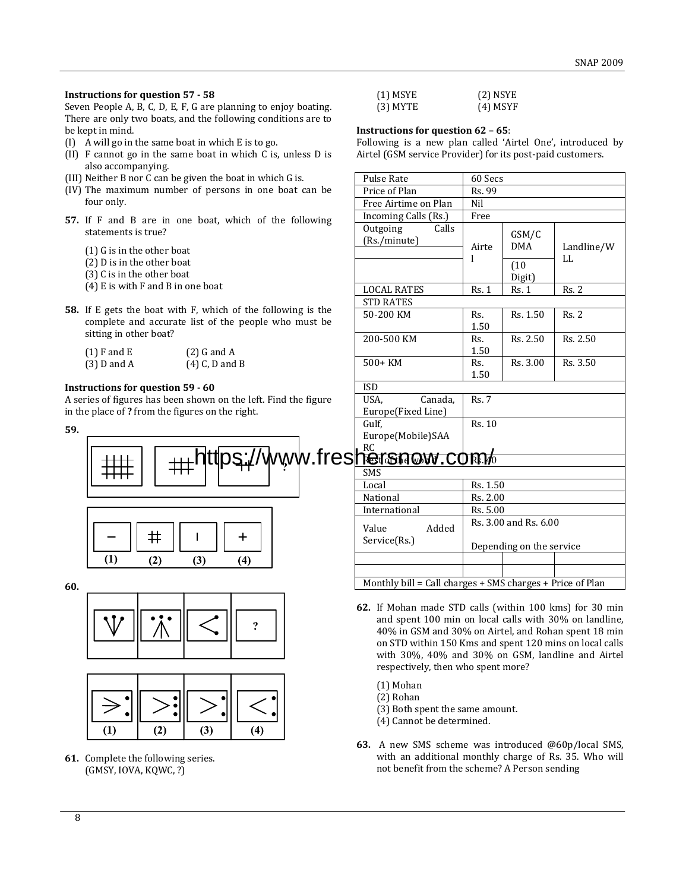### **Instructions for question 57 - 58**

Seven People A, B, C, D, E, F, G are planning to enjoy boating. There are only two boats, and the following conditions are to be kept in mind.

- (I) A will go in the same boat in which E is to go.
- (II) F cannot go in the same boat in which C is, unless D is also accompanying.
- (III) Neither B nor C can be given the boat in which G is.
- (IV) The maximum number of persons in one boat can be four only.
- **57.** If F and B are in one boat, which of the following statements is true?
	- (1) G is in the other boat
	- (2) D is in the other boat
	- (3) C is in the other boat
	- (4) E is with F and B in one boat
- **58.** If E gets the boat with F, which of the following is the complete and accurate list of the people who must be sitting in other boat?

| $(1)$ F and E | $(2)$ G and A    |
|---------------|------------------|
| $(3)$ D and A | $(4)$ C, D and B |

### **Instructions for question 59 - 60**

A series of figures has been shown on the left. Find the figure in the place of **?** from the figures on the right.

**59.**



**60.**





**61.** Complete the following series. (GMSY, IOVA, KQWC, ?)

| $(1)$ MSYE | $(2)$ NSYE |
|------------|------------|
| $(3)$ MYTE | $(4)$ MSYF |

#### **Instructions for question 62 – 65**:

Following is a new plan called 'Airtel One', introduced by Airtel (GSM service Provider) for its post-paid customers.

| <b>Pulse Rate</b>                                         | 60 Secs      |                          |            |
|-----------------------------------------------------------|--------------|--------------------------|------------|
| Price of Plan                                             | Rs. 99       |                          |            |
| Free Airtime on Plan                                      | Nil          |                          |            |
| Incoming Calls (Rs.)                                      | Free         |                          |            |
| Outgoing<br>Calls                                         |              | GSM/C                    |            |
| (Rs./minute)                                              | Airte        | <b>DMA</b>               | Landline/W |
|                                                           | 1            |                          | LL         |
|                                                           |              | (10)                     |            |
|                                                           |              | Digit)                   |            |
| <b>LOCAL RATES</b>                                        | Rs.1         | Rs.1                     | Rs. 2      |
| <b>STD RATES</b>                                          |              |                          |            |
| 50-200 KM                                                 | Rs.          | Rs. 1.50                 | Rs. 2      |
|                                                           | 1.50         |                          |            |
| 200-500 KM                                                | Rs.          | Rs. 2.50                 | Rs. 2.50   |
|                                                           | 1.50         |                          |            |
| $500+KM$                                                  | Rs.          | Rs. 3.00                 | Rs. 3.50   |
|                                                           | 1.50         |                          |            |
| <b>ISD</b>                                                |              |                          |            |
| USA.<br>Canada,                                           | <b>Rs. 7</b> |                          |            |
| Europe(Fixed Line)                                        |              |                          |            |
| Gulf.                                                     | Rs. 10       |                          |            |
| Europe(Mobile)SAA                                         |              |                          |            |
| <b>RC</b>                                                 |              |                          |            |
| <u>NGISNOW CORM</u>                                       |              |                          |            |
| <b>SMS</b>                                                |              |                          |            |
| Local                                                     | Rs. 1.50     |                          |            |
| National                                                  | Rs. 2.00     |                          |            |
| International                                             | Rs. 5.00     |                          |            |
| Added<br>Value                                            |              | Rs. 3.00 and Rs. 6.00    |            |
| Service(Rs.)                                              |              |                          |            |
|                                                           |              | Depending on the service |            |
|                                                           |              |                          |            |
|                                                           |              |                          |            |
| Monthly bill = Call charges + SMS charges + Price of Plan |              |                          |            |

- **62.** If Mohan made STD calls (within 100 kms) for 30 min and spent 100 min on local calls with 30% on landline, 40% in GSM and 30% on Airtel, and Rohan spent 18 min on STD within 150 Kms and spent 120 mins on local calls with 30%, 40% and 30% on GSM, landline and Airtel respectively, then who spent more?
	- (1) Mohan
	- (2) Rohan
	- (3) Both spent the same amount.
	- (4) Cannot be determined.
- **63.** A new SMS scheme was introduced @60p/local SMS, with an additional monthly charge of Rs. 35. Who will not benefit from the scheme? A Person sending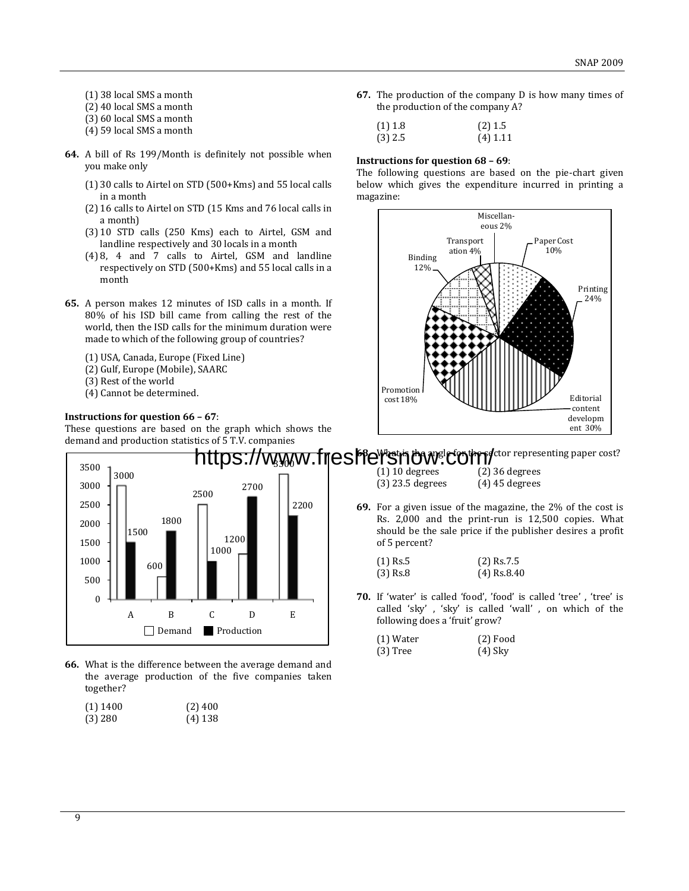- (1) 38 local SMS a month
- (2) 40 local SMS a month
- (3) 60 local SMS a month
- (4) 59 local SMS a month
- **64.** A bill of Rs 199/Month is definitely not possible when you make only
	- (1) 30 calls to Airtel on STD (500+Kms) and 55 local calls in a month
	- (2) 16 calls to Airtel on STD (15 Kms and 76 local calls in a month)
	- (3) 10 STD calls (250 Kms) each to Airtel, GSM and landline respectively and 30 locals in a month
	- (4) 8, 4 and 7 calls to Airtel, GSM and landline respectively on STD (500+Kms) and 55 local calls in a month
- **65.** A person makes 12 minutes of ISD calls in a month. If 80% of his ISD bill came from calling the rest of the world, then the ISD calls for the minimum duration were made to which of the following group of countries?
	- (1) USA, Canada, Europe (Fixed Line)
	- (2) Gulf, Europe (Mobile), SAARC
	- (3) Rest of the world
	- (4) Cannot be determined.

## **Instructions for question 66 – 67**:

These questions are based on the graph which shows the demand and production statistics of 5 T.V. companies



**66.** What is the difference between the average demand and the average production of the five companies taken together?

| (1) 1400 | $(2)$ 400 |
|----------|-----------|
| (3) 280  | $(4)$ 138 |

**67.** The production of the company D is how many times of the production of the company A?

| $(1)$ 1.8 | $(2)$ 1.5  |
|-----------|------------|
| $(3)$ 2.5 | $(4)$ 1.11 |

### **Instructions for question 68 – 69**:

The following questions are based on the pie-chart given below which gives the expenditure incurred in printing a magazine:



fctor representing paper cost? https://www.freshersnow<sup>.c</sup>om/

(1) 10 degrees (2) 36 degrees (3) 23.5 degrees (4) 45 degrees

**69.** For a given issue of the magazine, the 2% of the cost is Rs. 2,000 and the print-run is 12,500 copies. What should be the sale price if the publisher desires a profit of 5 percent?

| $(1)$ Rs.5 | $(2)$ Rs.7.5  |
|------------|---------------|
| $(3)$ Rs.8 | $(4)$ Rs.8.40 |

**70.** If 'water' is called 'food', 'food' is called 'tree' , 'tree' is called 'sky' , 'sky' is called 'wall' , on which of the following does a 'fruit' grow?

| $(1)$ Water | $(2)$ Food |
|-------------|------------|
| $(3)$ Tree  | $(4)$ Sky  |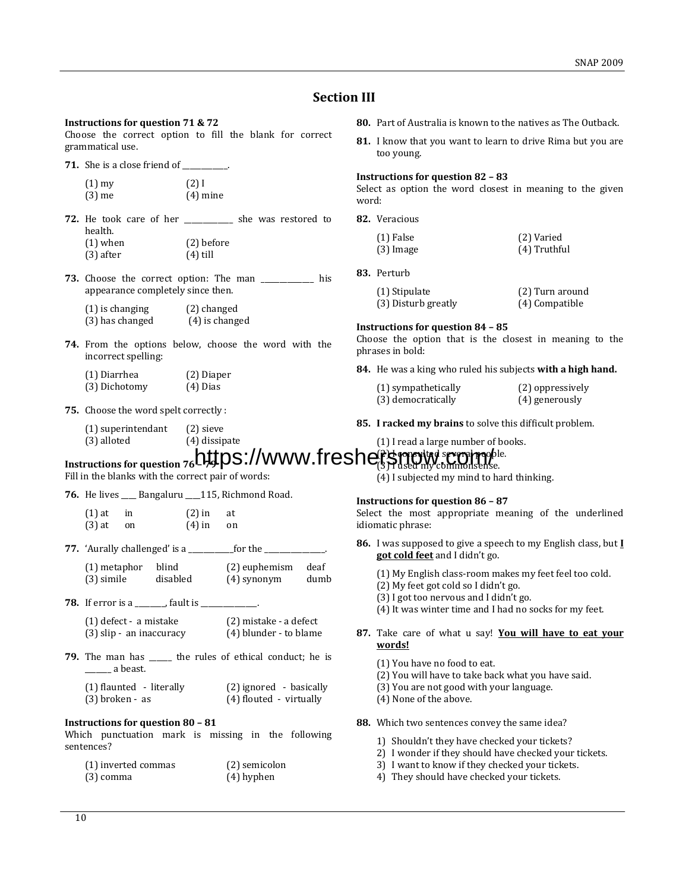## **Section III**

### **Instructions for question 71 & 72**

Choose the correct option to fill the blank for correct grammatical use.

**71.** She is a close friend of \_\_\_\_\_\_\_\_\_.

| $(1)$ my | $(2)$ I    |
|----------|------------|
| $(3)$ me | $(4)$ mine |

- **72.** He took care of her \_\_\_\_\_\_\_\_\_\_\_\_\_ she was restored to health. (1) when (2) before
	- (3) after (4) till
- **73.** Choose the correct option: The man \_\_\_\_\_\_\_\_\_\_\_\_\_\_ his appearance completely since then.

| $(1)$ is changing | (2) changed      |
|-------------------|------------------|
| (3) has changed   | $(4)$ is changed |

**74.** From the options below, choose the word with the incorrect spelling:

| (1) Diarrhea  | (2) Diaper |
|---------------|------------|
| (3) Dichotomy | $(4)$ Dias |

- **75.** Choose the word spelt correctly :
	- (1) superintendant (2) sieve
	- (3) alloted (4) dissipate
- **80.** Part of Australia is known to the natives as The Outback.
- **81.** I know that you want to learn to drive Rima but you are too young.

#### **Instructions for question 82 – 83**

Select as option the word closest in meaning to the given word:

**82.** Veracious

| $(1)$ False | (2) Varied     |
|-------------|----------------|
| $(3)$ Image | $(4)$ Truthful |

**83.** Perturb

| (1) Stipulate       | (2) Turn around |
|---------------------|-----------------|
| (3) Disturb greatly | (4) Compatible  |

#### **Instructions for question 84 – 85**

Choose the option that is the closest in meaning to the phrases in bold:

**84.** He was a king who ruled his subjects **with a high hand.**

| (1) sympathetically | (2) oppressively |
|---------------------|------------------|
| (3) democratically  | (4) generously   |

**85. I racked my brains** to solve this difficult problem.

(1) I read a large number of books.

#### **Instructions for question 76 – 79** (PC ronsulted several proof le. https://www.freshersnow.commonsense.

Fill in the blanks with the correct pair of words:

**76.** He lives \_\_\_\_ Bangaluru \_\_\_\_115, Richmond Road.

- $(1)$  at in  $(2)$  in at  $(3)$  at on  $(4)$  in on
- **77.** 'Aurally challenged' is a \_\_\_\_\_\_\_\_\_\_\_\_for the \_\_\_\_\_\_\_\_\_\_\_\_\_\_\_\_.  $(1)$  metaphor blind (2) euphemism deafter

| $(1)$ metaphor | blind    | $(2)$ euphemism | deaf |
|----------------|----------|-----------------|------|
| (3) simile     | disabled | (4) synonym     | dumb |

**78.** If error is a \_\_\_\_\_\_\_\_, fault is \_\_\_\_\_\_\_\_\_\_\_\_\_\_\_.

| (1) defect - a mistake   | (2) mistake - a defect |
|--------------------------|------------------------|
| (3) slip - an inaccuracy | (4) blunder - to blame |

**79.** The man has \_\_\_\_\_\_ the rules of ethical conduct; he is \_\_\_\_\_\_\_ a beast.

| (1) flaunted - literally | (2) ignored - basically |
|--------------------------|-------------------------|
| $(3)$ broken - as        | (4) flouted - virtually |

#### **Instructions for question 80 – 81**

Which punctuation mark is missing in the following sentences?

| (1) inverted commas | (2) semicolon |
|---------------------|---------------|
| $(3)$ comma         | $(4)$ hyphen  |

(4) I subjected my mind to hard thinking.

#### **Instructions for question 86 – 87**

Select the most appropriate meaning of the underlined idiomatic phrase:

- **86.** I was supposed to give a speech to my English class, but **I got cold feet** and I didn't go.
	- (1) My English class-room makes my feet feel too cold.
	- (2) My feet got cold so I didn't go.
	- (3) I got too nervous and I didn't go.
	- (4) It was winter time and I had no socks for my feet.
- **87.** Take care of what u say! **You will have to eat your words!**
	- (1) You have no food to eat.
	- (2) You will have to take back what you have said.
	- (3) You are not good with your language.
	- (4) None of the above.
- **88.** Which two sentences convey the same idea?
	- 1) Shouldn't they have checked your tickets?
	- 2) I wonder if they should have checked your tickets.
	- 3) I want to know if they checked your tickets.
	- 4) They should have checked your tickets.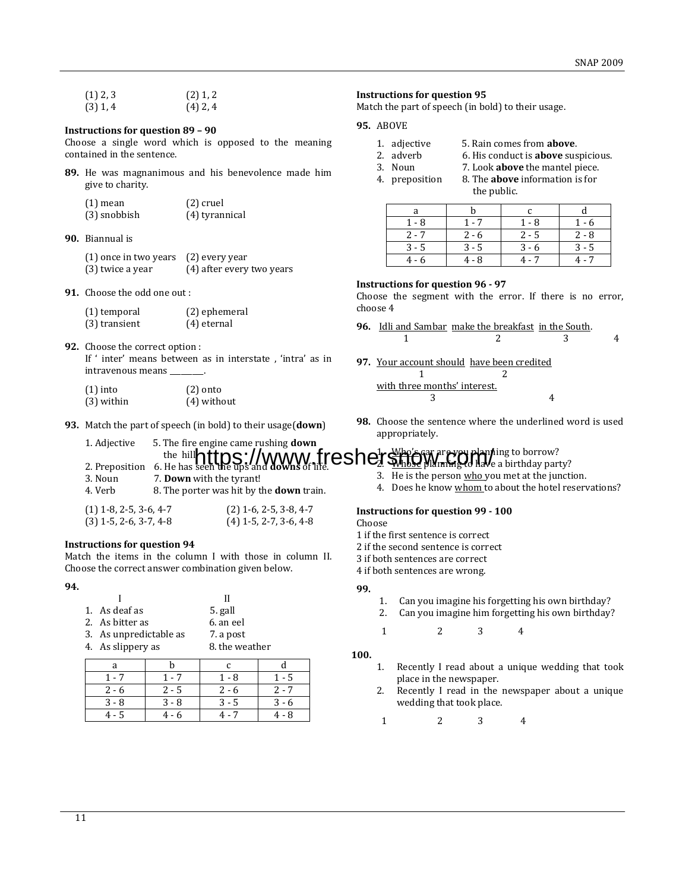| $(1)$ 2, 3 | $(2)$ 1, 2 |
|------------|------------|
| $(3)$ 1, 4 | $(4)$ 2, 4 |

#### **Instructions for question 89 – 90**

Choose a single word which is opposed to the meaning contained in the sentence.

**89.** He was magnanimous and his benevolence made him give to charity.

| $(1)$ mean   | $(2)$ cruel    |
|--------------|----------------|
| (3) snobbish | (4) tyrannical |

**90.** Biannual is

| (1) once in two years | (2) every year            |
|-----------------------|---------------------------|
| (3) twice a year      | (4) after every two years |

**91.** Choose the odd one out :

**Instructions for question 94**

| (1) temporal  | (2) ephemeral |
|---------------|---------------|
| (3) transient | $(4)$ eternal |

**92.** Choose the correct option : If ' inter' means between as in interstate , 'intra' as in intravenous means \_

| $(1)$ into   | $(2)$ onto    |
|--------------|---------------|
| $(3)$ within | $(4)$ without |

3. Noun 7. **Down** with the tyrant!

**93.** Match the part of speech (in bold) to their usage(**down**)

4. Verb 8. The porter was hit by the **down** train.  $(1)$  1-8, 2-5, 3-6, 4-7  $(2)$  1-6, 2-5, 3-8, 4-7 (3) 1-5, 2-6, 3-7, 4-8 (4) 1-5, 2-7, 3-6, 4-8

Match the items in the column I with those in column II.

#### **Instructions for question 95**

Match the part of speech (in bold) to their usage.

**95.** ABOVE

- 1. adjective 5. Rain comes from **above**.
- 2. adverb 6. His conduct is **above** suspicious.
- 3. Noun 7. Look **above** the mantel piece.
- 4. preposition 8. The **above** information is for the public.

| 1 - 8   | 1 - 7   | 1 - 8   | 1 - 6   |
|---------|---------|---------|---------|
| $2 - 7$ | $2 - 6$ | $2 - 5$ | $2 - 8$ |
| $3 - 5$ | $3 - 5$ | 3 - 6   | $3 - 5$ |
| 4 - 6   | $4 - R$ | 4.7     | 4 - 7   |

#### **Instructions for question 96 - 97**

Choose the segment with the error. If there is no error, choose 4

- **96.** Idli and Sambar make the breakfast in the South. 1 2 3 4
- **97.** Your account should have been credited 1 2 with three months' interest. 3 4
- **98.** Choose the sentence where the underlined word is used appropriately.

#### 1. Adjective 5. The fire engine came rushing **down** the hill. 2. Preposition 6. He has seen the ups and **downs** of life. 1. Who's car are you planning to borrow? **https://www.jreshershophylianning to borrow?**

- 3. He is the person who you met at the junction.
- 4. Does he know whom to about the hotel reservations?

#### **Instructions for question 99 - 100**

Choose

- 1 if the first sentence is correct
- 2 if the second sentence is correct
- 3 if both sentences are correct
- 4 if both sentences are wrong.

### **99.**

- 1. Can you imagine his forgetting his own birthday?
- 2. Can you imagine him forgetting his own birthday?
- 1 2 3 4

#### **100.**

- 1. Recently I read about a unique wedding that took place in the newspaper.
- 2. Recently I read in the newspaper about a unique wedding that took place.
- 1 2 3 4

**94.**

|                        | н              |
|------------------------|----------------|
| 1. As deaf as          | 5. gall        |
| 2. As bitter as        | 6. an eel      |
| 3. As unpredictable as | 7. a post      |
| 4. As slippery as      | 8. the weather |

Choose the correct answer combination given below.

| 1 - 7   | 1 - 7 | 1 - 8   | 1 - 5   |
|---------|-------|---------|---------|
| $2 - 6$ | 2 - 5 | $2 - 6$ | $2 - 7$ |
| $3 - 8$ | 3 - 8 | 3 - 5   | $3 - 6$ |
|         |       |         | 4 - 8   |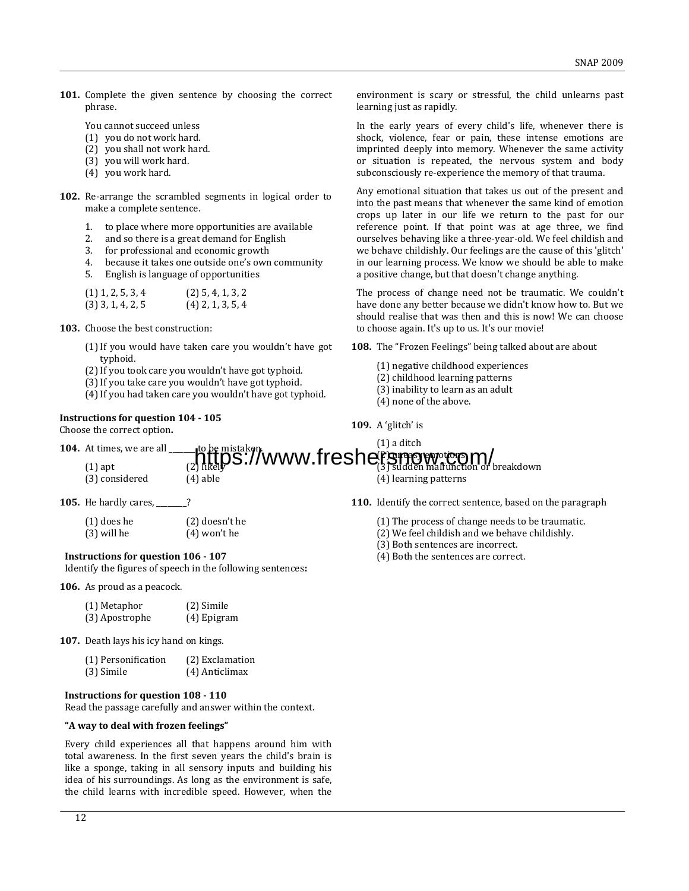**101.** Complete the given sentence by choosing the correct phrase.

You cannot succeed unless

- (1) you do not work hard.
- (2) you shall not work hard.
- (3) you will work hard.
- (4) you work hard.
- **102.** Re-arrange the scrambled segments in logical order to make a complete sentence.
	- 1. to place where more opportunities are available
	- 2. and so there is a great demand for English
	- 3. for professional and economic growth
	- 4. because it takes one outside one's own community
	- 5. English is language of opportunities

| $(1)$ 1, 2, 5, 3, 4 | $(2)$ 5, 4, 1, 3, 2 |
|---------------------|---------------------|
| $(3)$ 3, 1, 4, 2, 5 | $(4)$ 2, 1, 3, 5, 4 |

- **103.** Choose the best construction:
	- (1)If you would have taken care you wouldn't have got typhoid.
	- (2)If you took care you wouldn't have got typhoid.
	- (3)If you take care you wouldn't have got typhoid.
	- (4)If you had taken care you wouldn't have got typhoid.

## **Instructions for question 104 - 105**

Choose the correct option**.**

environment is scary or stressful, the child unlearns past learning just as rapidly.

In the early years of every child's life, whenever there is shock, violence, fear or pain, these intense emotions are imprinted deeply into memory. Whenever the same activity or situation is repeated, the nervous system and body subconsciously re-experience the memory of that trauma.

Any emotional situation that takes us out of the present and into the past means that whenever the same kind of emotion crops up later in our life we return to the past for our reference point. If that point was at age three, we find ourselves behaving like a three-year-old. We feel childish and we behave childishly. Our feelings are the cause of this 'glitch' in our learning process. We know we should be able to make a positive change, but that doesn't change anything.

The process of change need not be traumatic. We couldn't have done any better because we didn't know how to. But we should realise that was then and this is now! We can choose to choose again. It's up to us. It's our movie!

**108.** The "Frozen Feelings" being talked about are about

- (1) negative childhood experiences
- (2) childhood learning patterns
- (3) inability to learn as an adult
- (4) none of the above.
- **109.** A 'glitch' is

#### **104.** At times, we are all  $(1)$  apt (1) a ditch (2) uneasy emotions to be mistaken.<br>https://www.freshers.org/world.html (4) learning patterns

- (3) considered (4) able
- **105.** He hardly cares, \_\_\_\_\_\_\_\_?

| (1) does he | $(2)$ doesn't he |
|-------------|------------------|
| (3) will he | $(4)$ won't he   |

**Instructions for question 106 - 107**

Identify the figures of speech in the following sentences**:**

**106.** As proud as a peacock.

| (1) Metaphor   | (2) Simile  |
|----------------|-------------|
| (3) Apostrophe | (4) Epigram |

**107.** Death lays his icy hand on kings.

| (1) Personification | (2) Exclamation |
|---------------------|-----------------|
| (3) Simile          | (4) Anticlimax  |

#### **Instructions for question 108 - 110**

Read the passage carefully and answer within the context.

#### **"A way to deal with frozen feelings"**

Every child experiences all that happens around him with total awareness. In the first seven years the child's brain is like a sponge, taking in all sensory inputs and building his idea of his surroundings. As long as the environment is safe, the child learns with incredible speed. However, when the **110.** Identify the correct sentence, based on the paragraph

- (1) The process of change needs to be traumatic.
- (2) We feel childish and we behave childishly.
- (3) Both sentences are incorrect.
- (4) Both the sentences are correct.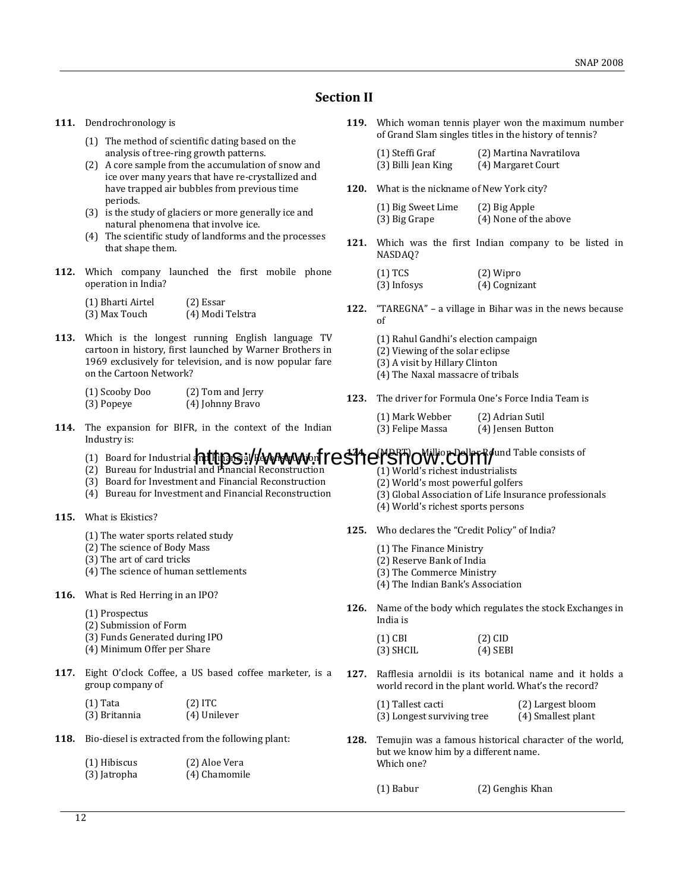## **Section II**

- **111.** Dendrochronology is
	- (1) The method of scientific dating based on the analysis of tree-ring growth patterns.
	- (2) A core sample from the accumulation of snow and ice over many years that have re-crystallized and have trapped air bubbles from previous time periods.
	- (3) is the study of glaciers or more generally ice and natural phenomena that involve ice.
	- (4) The scientific study of landforms and the processes that shape them.
- **112.** Which company launched the first mobile phone operation in India?

| (1) Bharti Airtel | $(2)$ Essar      |
|-------------------|------------------|
| (3) Max Touch     | (4) Modi Telstra |

**113.** Which is the longest running English language TV cartoon in history, first launched by Warner Brothers in 1969 exclusively for television, and is now popular fare on the Cartoon Network?

| (1) Scooby Doo | (2) Tom and Jerry |
|----------------|-------------------|
| (3) Popeye     | (4) Johnny Bravo  |

**114.** The expansion for BIFR, in the context of the Indian Industry is:

**119.** Which woman tennis player won the maximum number of Grand Slam singles titles in the history of tennis?

| (1) Steffi Graf     | (2) Martina Navratilova |
|---------------------|-------------------------|
| (3) Billi Jean King | (4) Margaret Court      |

**120.** What is the nickname of New York city?

| (1) Big Sweet Lime | (2) Big Apple         |
|--------------------|-----------------------|
| (3) Big Grape      | (4) None of the above |

**121.** Which was the first Indian company to be listed in NASDAQ?

| $(1)$ TCS   | (2) Wipro     |
|-------------|---------------|
| (3) Infosys | (4) Cognizant |

- **122.** "TAREGNA" a village in Bihar was in the news because of
	- (1) Rahul Gandhi's election campaign
	- (2) Viewing of the solar eclipse
	- (3) A visit by Hillary Clinton
	- (4) The Naxal massacre of tribals
- **123.** The driver for Formula One's Force India Team is
	- (1) Mark Webber (2) Adrian Sutil
	- (3) Felipe Massa (4) Jensen Button

# (1) Board for Industrial **ant thps://www.freshersong.com/20176/**und Table consists of

- (2) Bureau for Industrial and Financial Reconstruction
- (3) Board for Investment and Financial Reconstruction
- (4) Bureau for Investment and Financial Reconstruction
- **115.** What is Ekistics?
	- (1) The water sports related study
	- (2) The science of Body Mass
	- (3) The art of card tricks
	- (4) The science of human settlements
- **116.** What is Red Herring in an IPO?
	- (1) Prospectus
	- (2) Submission of Form
	- (3) Funds Generated during IPO
	- (4) Minimum Offer per Share
- **117.** Eight O'clock Coffee, a US based coffee marketer, is a group company of

| $(1)$ Tata    | $(2)$ ITC    |
|---------------|--------------|
| (3) Britannia | (4) Unilever |

**118.** Bio-diesel is extracted from the following plant:

| (1) Hibiscus | (2) Aloe Vera |
|--------------|---------------|
| (3) Jatropha | (4) Chamomile |

- (1) World's richest industrialists
- (2) World's most powerful golfers
- (3) Global Association of Life Insurance professionals
- (4) World's richest sports persons
- **125.** Who declares the "Credit Policy" of India?
	- (1) The Finance Ministry
	- (2) Reserve Bank of India
	- (3) The Commerce Ministry
	- (4) The Indian Bank's Association
- **126.** Name of the body which regulates the stock Exchanges in India is

| $(1)$ CBI   | $(2)$ CID  |
|-------------|------------|
| $(3)$ SHCIL | $(4)$ SEBI |

- **127.** Rafflesia arnoldii is its botanical name and it holds a world record in the plant world. What's the record?
	- (1) Tallest cacti (2) Largest bloom (3) Longest surviving tree (4) Smallest plant
- **128.** Temujin was a famous historical character of the world, but we know him by a different name. Which one?

(1) Babur (2) Genghis Khan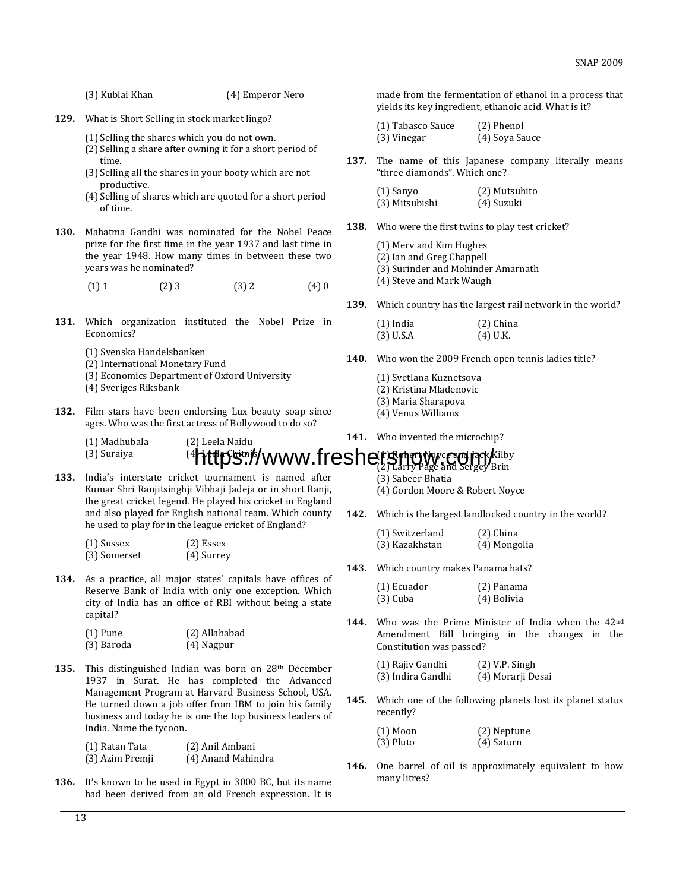(3) Kublai Khan (4) Emperor Nero

- **129.** What is Short Selling in stock market lingo?
	- (1) Selling the shares which you do not own.
	- (2) Selling a share after owning it for a short period of time.
	- (3) Selling all the shares in your booty which are not productive.
	- (4) Selling of shares which are quoted for a short period of time.
- **130.** Mahatma Gandhi was nominated for the Nobel Peace prize for the first time in the year 1937 and last time in the year 1948. How many times in between these two years was he nominated?
	- $(1) 1$   $(2) 3$   $(3) 2$   $(4) 0$
- **131.** Which organization instituted the Nobel Prize in Economics?
	- (1) Svenska Handelsbanken
	- (2) International Monetary Fund
	- (3) Economics Department of Oxford University
	- (4) Sveriges Riksbank
- **132.** Film stars have been endorsing Lux beauty soap since ages. Who was the first actress of Bollywood to do so?

made from the fermentation of ethanol in a process that yields its key ingredient, ethanoic acid. What is it?

| (1) Tabasco Sauce | (2) Phenol     |
|-------------------|----------------|
| (3) Vinegar       | (4) Soya Sauce |

**137.** The name of this Japanese company literally means "three diamonds". Which one?

| (1) Sanyo      | (2) Mutsuhito |
|----------------|---------------|
| (3) Mitsubishi | (4) Suzuki    |

**138.** Who were the first twins to play test cricket?

|  |  |  |  | (1) Merv and Kim Hughes |
|--|--|--|--|-------------------------|
|--|--|--|--|-------------------------|

(2) Ian and Greg Chappell

(3) Surinder and Mohinder Amarnath

- (4) Steve and Mark Waugh
- **139.** Which country has the largest rail network in the world?

| $(1)$ India | $(2)$ China |
|-------------|-------------|
| $(3)$ U.S.A | $(4)$ U.K.  |

- **140.** Who won the 2009 French open tennis ladies title?
	- (1) Svetlana Kuznetsova
	- (2) Kristina Mladenovic
	- (3) Maria Sharapova
	- (4) Venus Williams

(3) Sabeer Bhatia

**141.** Who invented the microchip?

### (1) Madhubala (2) Leela Naidu  $(3)$  Suraiya  $(4)$  Http://www.fracharty.org/mayorganized/kilby https://www.freshersnow.cone

**133.** India's interstate cricket tournament is named after Kumar Shri Ranjitsinghji Vibhaji Jadeja or in short Ranji, the great cricket legend. He played his cricket in England and also played for English national team. Which county he used to play for in the league cricket of England?

| (1) Sussex   | (2) Essex  |
|--------------|------------|
| (3) Somerset | (4) Surrey |

**134.** As a practice, all major states' capitals have offices of Reserve Bank of India with only one exception. Which city of India has an office of RBI without being a state capital?

| (1) Pune   | (2) Allahabad |
|------------|---------------|
| (3) Baroda | (4) Nagpur    |

135. This distinguished Indian was born on 28<sup>th</sup> December 1937 in Surat. He has completed the Advanced Management Program at Harvard Business School, USA. He turned down a job offer from IBM to join his family business and today he is one the top business leaders of India. Name the tycoon.

| (1) Ratan Tata  | (2) Anil Ambani    |
|-----------------|--------------------|
| (3) Azim Premji | (4) Anand Mahindra |

**136.** It's known to be used in Egypt in 3000 BC, but its name had been derived from an old French expression. It is

- **142.** Which is the largest landlocked country in the world?
	- (1) Switzerland (2) China (3) Kazakhstan (4) Mongolia

(4) Gordon Moore & Robert Noyce

**143.** Which country makes Panama hats?

| (1) Ecuador | (2) Panama  |
|-------------|-------------|
| $(3)$ Cuba  | (4) Bolivia |

**144.** Who was the Prime Minister of India when the 42nd Amendment Bill bringing in the changes in the Constitution was passed?

| (1) Rajiv Gandhi  | $(2)$ V.P. Singh  |
|-------------------|-------------------|
| (3) Indira Gandhi | (4) Morarji Desai |

**145.** Which one of the following planets lost its planet status recently?

| $(1)$ Moon  | (2) Neptune |
|-------------|-------------|
| $(3)$ Pluto | (4) Saturn  |

**146.** One barrel of oil is approximately equivalent to how many litres?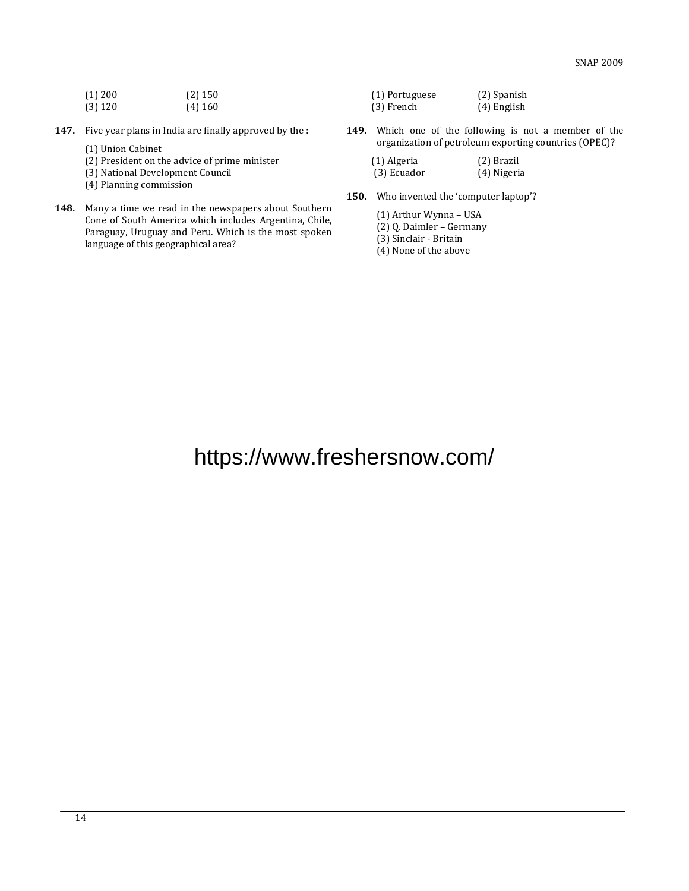| (1) 200 | $(2)$ 150 |
|---------|-----------|
| (3) 120 | $(4)$ 160 |

- **147.** Five year plans in India are finally approved by the :
	- (1) Union Cabinet
	- (2) President on the advice of prime minister
	- (3) National Development Council
	- (4) Planning commission
- **148.** Many a time we read in the newspapers about Southern Cone of South America which includes Argentina, Chile, Paraguay, Uruguay and Peru. Which is the most spoken language of this geographical area?
- (1) Portuguese (2) Spanish (3) French (4) English
- **149.** Which one of the following is not a member of the organization of petroleum exporting countries (OPEC)?
	- (1) Algeria (2) Brazil<br>(3) Ecuador (4) Nigeria  $(3)$  Ecuador
- **150.** Who invented the 'computer laptop'?
	- (1) Arthur Wynna USA
	- (2) Q. Daimler Germany

(3) Sinclair - Britain

(4) None of the above

# https://www.freshersnow.com/